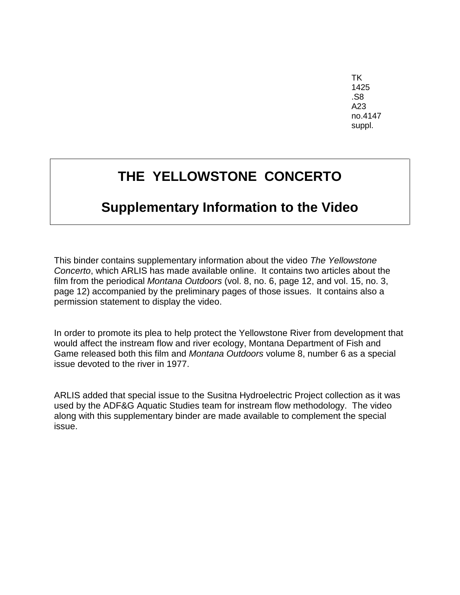TK 1425 .S8 A23 no.4147 suppl.

# **THE YELLOWSTONE CONCERTO**

### **Supplementary Information to the Video**

This binder contains supplementary information about the video *The Yellowstone Concerto*, which ARLIS has made available online. It contains two articles about the film from the periodical *Montana Outdoors* (vol. 8, no. 6, page 12, and vol. 15, no. 3, page 12) accompanied by the preliminary pages of those issues. It contains also a permission statement to display the video.

In order to promote its plea to help protect the Yellowstone River from development that would affect the instream flow and river ecology, Montana Department of Fish and Game released both this film and *Montana Outdoors* volume 8, number 6 as a special issue devoted to the river in 1977.

ARLIS added that special issue to the Susitna Hydroelectric Project collection as it was used by the ADF&G Aquatic Studies team for instream flow methodology. The video along with this supplementary binder are made available to complement the special issue.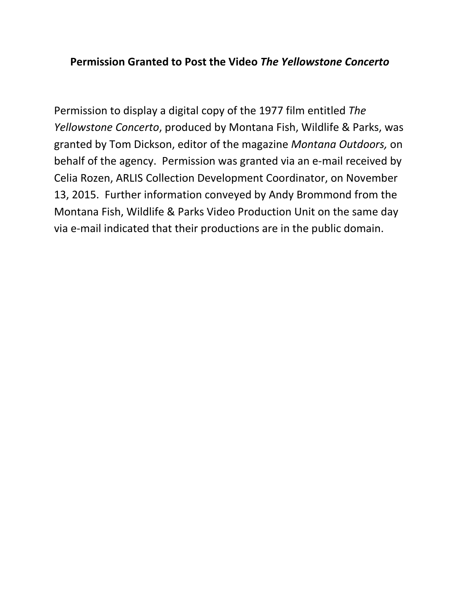#### **Permission Granted to Post the Video** *The Yellowstone Concerto*

Permission to display a digital copy of the 1977 film entitled *The Yellowstone Concerto*, produced by Montana Fish, Wildlife & Parks, was granted by Tom Dickson, editor of the magazine *Montana Outdoors,* on behalf of the agency. Permission was granted via an e-mail received by Celia Rozen, ARLIS Collection Development Coordinator, on November 13, 2015. Further information conveyed by Andy Brommond from the Montana Fish, Wildlife & Parks Video Production Unit on the same day via e-mail indicated that their productions are in the public domain.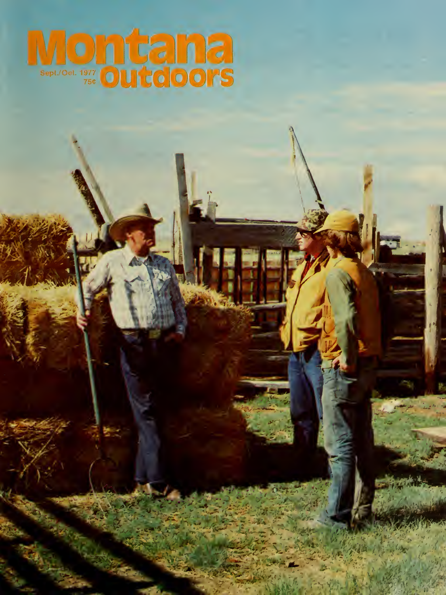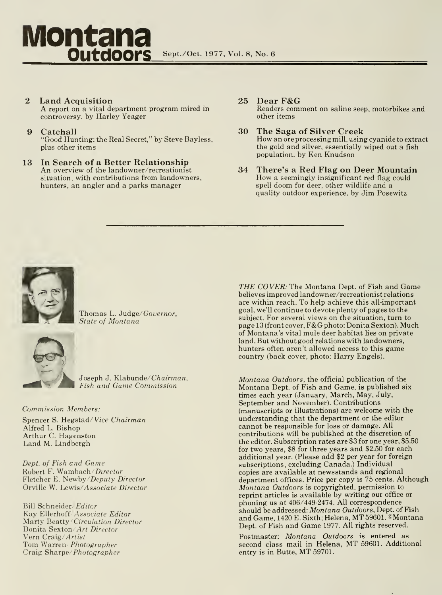# Montana<br>
Outdoors Sept./Oct. 1977, Vol. 8, No. 6 **Outdoors**

- $\overline{2}$ Land Acquisition A report on <sup>a</sup> vital department program mired in controversy, by Harley Yeager
- 9 Catchall "Good Hunting: the Real Secret," by Steve Bayless, plus other items
- 13 In Search of a Better Relationship An overview of the landowner/recreationist situation, with contributions from landowners, hunters, an angler and a parks manager
- 25 Dear F&G Readers comment on saline seep, motorbikes and other items
- 30 The Saga of Silver Creek How an ore processing mill, using cyanide to extract the gold and silver, essentially wiped out a fish population, by Ken Knudson
- 34 There's a Red Flag on Deer Mountain How a seemingly insignificant red flag could spell doom for deer, other wildlife and a quality outdoor experience, by Jim Posewitz



Thomas L. Judge/Governor, State of Montana



Joseph J. Klabunde/Chairman, Fish and Game Commission

#### Commission Members:

Spencer S. Hegstad/Vice Chairman Alfred L. Bishop Arthur C. Hagenston Land M. Lindbergh

Dept. of Fish and Game Robert F. Wambach/Director Fletcher E. Newby/Deputy Director Orville W. Lewis/Associate Director

Bill Schneider/ Editor Kay Ellerhoff Associate Editor Marty Beatty/Circulation Director Donita Sexton/Art Director Vern Craig/ Artist Tom Warren/ Photographer Craig Sharpe/Photographer

THE COVER: The Montana Dept. of Fish and Game believes improved landowner/recreationist relations are within reach. To help achieve this all-important goal, we'll continue to devote plenty of pages to the subject. For several views on the situation, turn to page <sup>13</sup> (front cover, F&G photo: Donita Sexton). Much of Montana's vital mule deer habitat lies on private land. But without good relations with landowners, hunters often aren't allowed access to this game country (back cover, photo: Harry Engels).

Montana Outdoors, the official publication of the Montana Dept. of Fish and Game, is published six times each year (January, March, May, July, September and November). Contributions (manuscripts or illustrations) are welcome with the understanding that the department or the editor cannot be responsible for loss or damage. All contributions will be published at the discretion of the editor. Subscription rates are \$3 for one year, \$5.50 for two years, \$8 for three years and \$2.50 for each additional year. (Please add \$2 per year for foreign subscriptions, excluding Canada.) Individual copies are available at newsstands and regional department offices. Price per copy is 75 cents. Although Montana Outdoors is copyrighted, permission to reprint articles is available by writing our office or phoning us at 406/449-2474. All correspondence should be addressed: Montana Outdoors, Dept. of Fish and Game, 1420 E. Sixth; Helena, MT 59601. Montana Dept. of Fish and Game 1977. All rights reserved.

Postmaster: Montana Outdoors is entered as second class mail in Helena, MT 59601. Additional entry is in Butte, MT 59701.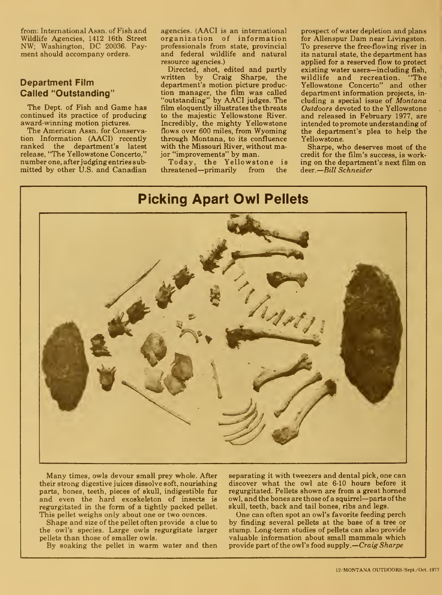from: International Assn. of Fish and Wildlife Agencies, 1412 16th Street NW; Washington, DC 20036. Payment should accompany orders.

#### Department Film Called "Outstanding"

The Dept. of Fish and Game has continued its practice of producing award-winning motion pictures.

The American Assn. for Conservation Information (AACI) recently ranked the department's latest release, "The Yellowstone Concerto," number one, after judging entries submitted by other U.S. and Canadian

agencies. (AACI is an international organization of information professionals from state, provincial and federal wildlife and natural resource agencies.)

Directed, shot, edited and partly written by Craig Sharpe, the department's motion picture production manager, the film was called "outstanding" by AACI judges. The film eloquently illustrates the threats to the majestic Yellowstone River. Incredibly, the mighty Yellowstone flows over 600 miles, from Wyoming through Montana, to its confluence with the Missouri River, without major "improvements" by man.

Today, the Yellowstone is threatened—primarily from the

prospect of water depletion and plans for Allenspur Dam near Livingston. To preserve the free-flowing river in its natural state, the department has applied for a reserved flow to protect existing water users—including fish,<br>wildlife and recreation. "The wildlife and recreation. Yellowstone Concerto" and other department information projects, in cluding a special issue of Montana Outdoors devoted to the Yellowstone and released in February 1977, are intended to promote understanding of the department's plea to help the Yellowstone.

Sharpe, who deserves most of the credit for the film's success, is working on the department's next film on deer. Bill Schneider

#### Picking Apart Owl Pellets

Many times, owls devour small prey whole. After their strong digestive juices dissolve soft, nourishing parts, bones, teeth, pieces of skull, indigestible fur and even the hard exoskeleton of insects is regurgitated in the form of a tightly packed pellet. This pellet weighs only about one or two ounces.

Shape and size of the pellet often provide a clue to the owl's species. Large owls regurgitate larger pellets than those of smaller owls.

By soaking the pellet in warm water and then

separating it with tweezers and dental pick, one can discover what the owl ate 6-10 hours before it regurgitated. Pellets shown are from a great homed owl, and the bones are those of a squirrel—parts ofthe skull, teeth, back and tail bones, ribs and legs.

One can often spot an owl's favorite feeding perch by finding several pellets at the base of a tree or stump. Long-term studies of pellets can also provide valuable information about small mammals which provide part of the owl's food supply.—*Craig Sharpe* 

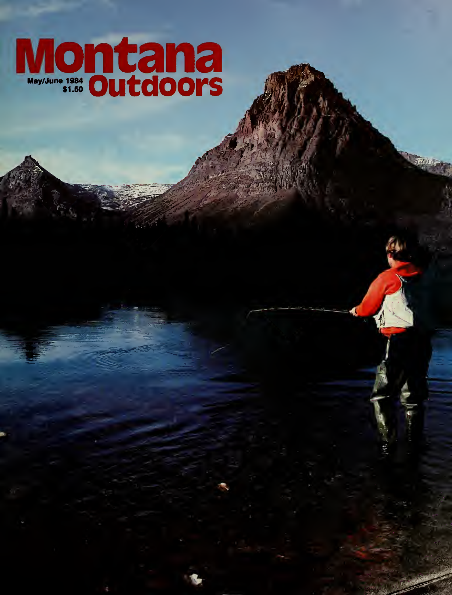# Montana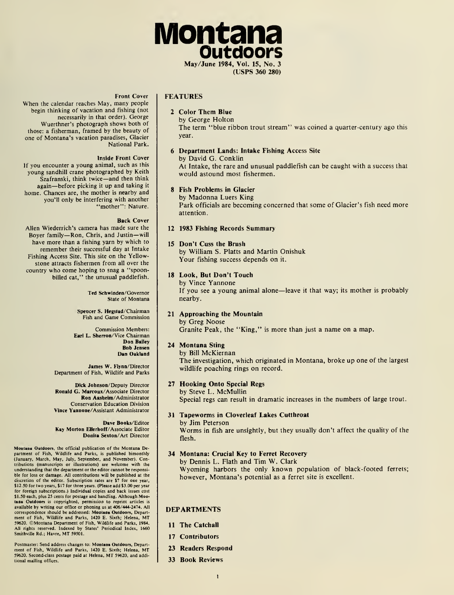

FEATURES

#### 2 Color Them Blue

by George Holton The term "blue ribbon trout stream" was coined a quarter-century ago this year.

#### 6 Department Lands: Intake Fishing Access Site by David G. Conklin

At Intake, the rare and unusual paddlefish can be caught with a success that would astound most fishermen.

#### 8 Fish Problems in Glacier

by Madonna Luers King Park officials are becoming concerned that some of Glacier's fish need more attention.

#### 12 1983 Fishing Records Summary

#### 15 Don't Cuss the Brush

by William S. Platts and Martin Onishuk Your fishing success depends on it.

#### 18 Look, But Don't Touch

by Vince Yannone If you see <sup>a</sup> young animal alone—leave it that way; its mother is probably nearby.

#### 21 Approaching the Mountain

by Greg Noose Granite Peak, the "King," is more than just a name on a map.

#### 24 Montana Sting

by Bill McKiernan The investigation, which originated in Montana, broke up one of the largest wildlife poaching rings on record.

#### 27 Hooking Onto Special Regs by Steve L. McMullin

Special regs can result in dramatic increases in the numbers of large trout.

#### 31 Tapeworms in Cloverleaf Lakes Cutthroat

by Jim Peterson Worms in fish are unsightly, but they usually don't affect the quality of the flesh.

#### 34 Montana: Crucial Key to Ferret Recovery

by Dennis L. Flath and Tim W. Clark Wyoming harbors the only known population of black-footed ferrets; however, Montana's potential as a ferret site is excellent.

#### DEPARTMENTS

- 11 The Catchall
- 17 Contributors
- 23 Readers Respond
- 33 Book Reviews

#### Front Cover

When the calendar reaches May, many people begin thinking of vacation and fishing (not necessarily in that order). George Wuerthner's photograph shows both of those: a fisherman, framed by the beauty of one of Montana's vacation paradises, Glacier National Park.

#### Inside Front Cover

If you encounter a young animal, such as this young sandhill crane photographed by Keith Szafranski, think twice—and then think again—before picking it up and taking it home. Chances are, the mother is nearby and you'll only be interfering with another "mother": Nature.

#### Back Cover

Allen Wiederrich's camera has made sure the Boyer family— Ron, Chris, and Justin—will have more than a fishing yarn by which to remember their successful day at Intake Fishing Access Site. This site on the Yellowstone attracts fishermen from all over the country who come hoping to snag a "spoonbilled cat," the unusual paddlefish.

> Ted Schwinden/Governor State of Montana

Spencer S. Hegstad/Chairman Fish and Game Commission

Commission Members: Earl L. Sherron/Vice Chairman Don Bailey Bob Jensen Dan Oakland

James W. Flynn/Director Department of Fish, Wildlife and Parks

Dick Johnson/Deputy Director Ronald G. Marcoux/Associate Director Ron Aashelm/Administrator Conservation Education Division Vlnce Yannone/Assistant Administrator

#### Dave Books/Editor Kay Morton Ellerhoff/Associate Editor Donlta Sexton/Art Director

Montana Outdoors, the official publication of the Montana Department of Fish, Wildlife and Parks, is published bimonthly (January, March, May, July, September, and November). Con-tributions (manuscripts or illustrations) are welcome with the understanding that the department or the editor cannot be responsi-<br>ble for loss or damage. All contributions will be published at the<br>discretion of the editor. Subscription rates are \$7 for one year,<br>\$12.50 for two years, for foreign subscriptions.) Individual copies and back issues cost \$1 .50 each, plus 25 cents for postage and handling. Although Mootana Outdoors is copyrighted, permission to reprint articles is available by writing our office or phoning us at 406/444-2474. All<br>correspondence should be addressed: M**ootasa Outdoors,** Department of Fish, Wildlife and Parks, 1420 E. Sixth; Helena, MT<br>59620. ©Montana Department of Fish, Wildlife and Parks, 1984.<br>All rights reserved. Indexed by States' Periodical Index, 1660 Smithville Rd.; Havre, MT 59501.

Postmaster: Send address changes to: Montana Outdoors, Depart ment of Fish, Wildlife and Parks, <sup>1420</sup> E. Sixth; Helena, MT 59620. Second-class postage paid at Helena, MT 59620, and additional mailing offices.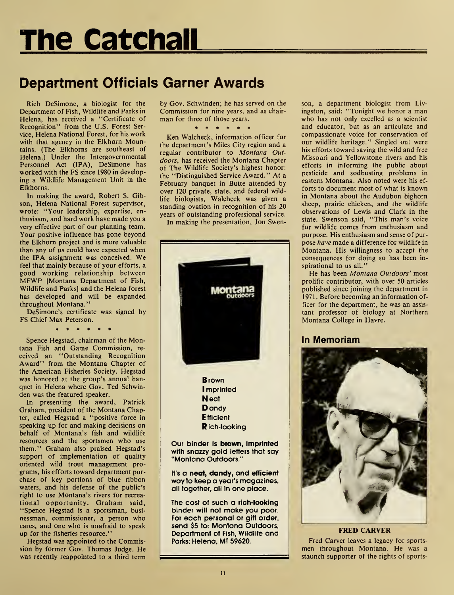# The Catchall

## Department Officials Garner Awards

Rich DeSimone, a biologist for the Department of Fish, Wildlife and Parks in Helena, has received a "Certificate of Recognition" from the U.S. Forest Service, Helena National Forest, for his work with that agency in the Elkhorn Mountains. (The Elkhorns are southeast of Helena.) Under the Intergovernmental Personnel Act (IPA), DeSimone has worked with the FS since 1980 in developing a Wildlife Management Unit in the Elkhorns.

In making the award, Robert S. Gibson, Helena National Forest supervisor, wrote: "Your leadership, expertise, en thusiasm, and hard work have made you a very effective part of our planning team. Your positive influence has gone beyond the Elkhorn project and is more valuable than any of us could have expected when the IPA assignment was conceived. We feel that mainly because of your efforts, a good working relationship between MFWP [Montana Department of Fish, Wildlife and Parks] and the Helena forest has developed and will be expanded throughout Montana."

DeSimone's certificate was signed by FS Chief Max Peterson.

. . . . . .

Spence Hegstad, chairman of the Montana Fish and Game Commission, re ceived an "Outstanding Recognition Award" from the Montana Chapter of the American Fisheries Society. Hegstad was honored at the group's annual banquet in Helena where Gov. Ted Schwinden was the featured speaker.

In presenting the award, Patrick Graham, president of the Montana Chapter, called Hegstad a "positive force in speaking up for and making decisions on behalf of Montana's fish and wildlife resources and the sportsmen who use them." Graham also praised Hegstad's support of implementation of quality oriented wild trout management pro grams, his efforts toward department pur chase of key portions of blue ribbon waters, and his defense of the public's right to use Montana's rivers for recrea tional opportunity. Graham said, "Spence Hegstad is a sportsman, busi nessman, commissioner, a person who cares, and one who is unafraid to speak up for the fisheries resource."

Hegstad was appointed to the Commission by former Gov. Thomas Judge. He was recently reappointed to a third term

by Gov. Schwinden; he has served on the Commission for nine years, and as chair man for three of those years.<br> $* * * * * * *$ 

Ken Walcheck, information officer for the department's Miles City region and a regular contributor to Montana Outdoors, has received the Montana Chapter of The Wildlife Society's highest honor: the "Distinguished Service Award." At a February banquet in Butte attended by over 120 private, state, and federal wildlife biologists, Walcheck was given a standing ovation in recognition of his 20 years of outstanding professional service.

In making the presentation, Jon Swen-



The cost of such a rich-looking binder will not make you poor. For each personal or gift order, send \$5 to: Montana Outdoors, Department of Fish, Wildlife and Parks; Helena, MT 59620.

son, a department biologist from Livingston, said: "Tonight we honor a man who has not only excelled as a scientist and educator, but as an articulate and compassionate voice for conservation of our wildlife heritage." Singled out were his efforts toward saving the wild and free Missouri and Yellowstone rivers and his efforts in informing the public about pesticide and sodbusting problems in eastern Montana. Also noted were his ef forts to document most of what is known in Montana about the Audubon bighorn sheep, prairie chicken, and the wildlife observations of Lewis and Clark in the state. Swenson said, "This man's voice for wildlife comes from enthusiasm and purpose. His enthusiasm and sense of pur pose have made a difference for wildlife in Montana. His willingness to accept the consequences for doing so has been in spirational to us all."

He has been Montana Outdoors' most prolific contributor, with over 50 articles published since joining the department in 1971. Before becoming an information officer for the department, he was an assis tant professor of biology at Northern Montana College in Havre.

#### In Memoriam



Fred Carver leaves a legacy for sports men throughout Montana. He was a staunch supporter of the rights of sports